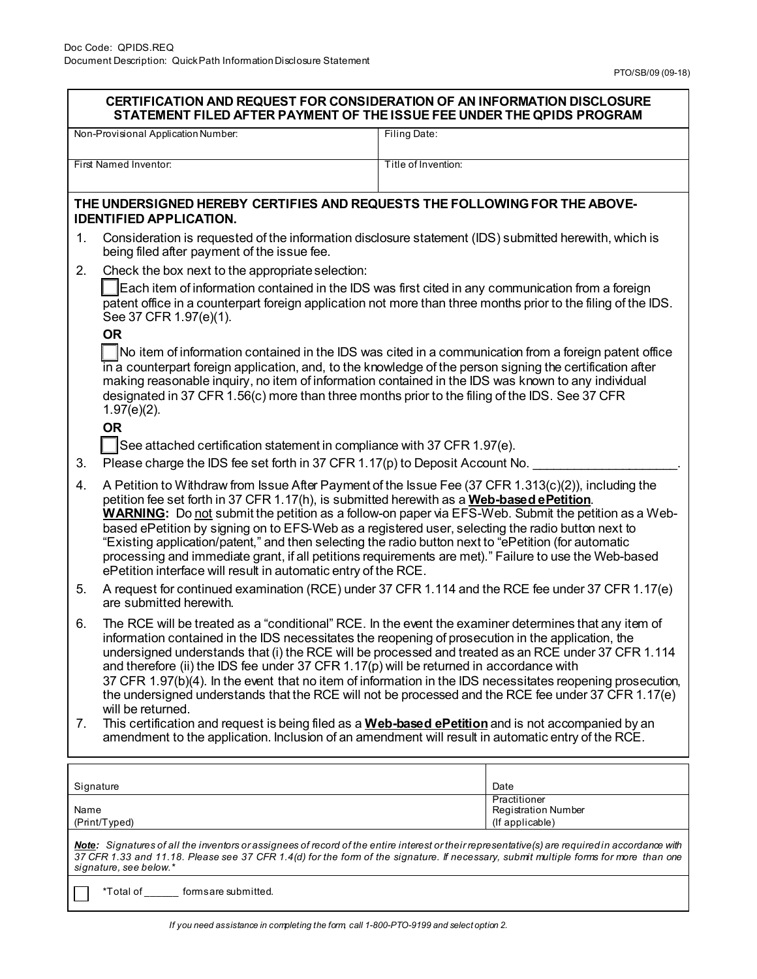| <b>CERTIFICATION AND REQUEST FOR CONSIDERATION OF AN INFORMATION DISCLOSURE</b><br>STATEMENT FILED AFTER PAYMENT OF THE ISSUE FEE UNDER THE QPIDS PROGRAM                                                                                                                                                        |                                                                                                                                                                                                                                                                                                                                                                                                                                                                                                                                                                                                                                                                                                         |                                                                                                                                                                                                                                                                                                                                                                                                                                                                                                                                                 |  |  |
|------------------------------------------------------------------------------------------------------------------------------------------------------------------------------------------------------------------------------------------------------------------------------------------------------------------|---------------------------------------------------------------------------------------------------------------------------------------------------------------------------------------------------------------------------------------------------------------------------------------------------------------------------------------------------------------------------------------------------------------------------------------------------------------------------------------------------------------------------------------------------------------------------------------------------------------------------------------------------------------------------------------------------------|-------------------------------------------------------------------------------------------------------------------------------------------------------------------------------------------------------------------------------------------------------------------------------------------------------------------------------------------------------------------------------------------------------------------------------------------------------------------------------------------------------------------------------------------------|--|--|
| Non-Provisional Application Number:                                                                                                                                                                                                                                                                              |                                                                                                                                                                                                                                                                                                                                                                                                                                                                                                                                                                                                                                                                                                         | Filing Date:                                                                                                                                                                                                                                                                                                                                                                                                                                                                                                                                    |  |  |
| First Named Inventor:                                                                                                                                                                                                                                                                                            |                                                                                                                                                                                                                                                                                                                                                                                                                                                                                                                                                                                                                                                                                                         | Title of Invention:                                                                                                                                                                                                                                                                                                                                                                                                                                                                                                                             |  |  |
| THE UNDERSIGNED HEREBY CERTIFIES AND REQUESTS THE FOLLOWING FOR THE ABOVE-<br><b>IDENTIFIED APPLICATION.</b>                                                                                                                                                                                                     |                                                                                                                                                                                                                                                                                                                                                                                                                                                                                                                                                                                                                                                                                                         |                                                                                                                                                                                                                                                                                                                                                                                                                                                                                                                                                 |  |  |
| 1.                                                                                                                                                                                                                                                                                                               | Consideration is requested of the information disclosure statement (IDS) submitted herewith, which is<br>being filed after payment of the issue fee.                                                                                                                                                                                                                                                                                                                                                                                                                                                                                                                                                    |                                                                                                                                                                                                                                                                                                                                                                                                                                                                                                                                                 |  |  |
| 2.                                                                                                                                                                                                                                                                                                               | Check the box next to the appropriate selection:<br>Each item of information contained in the IDS was first cited in any communication from a foreign<br>patent office in a counterpart foreign application not more than three months prior to the filing of the IDS.<br>See 37 CFR 1.97(e)(1).                                                                                                                                                                                                                                                                                                                                                                                                        |                                                                                                                                                                                                                                                                                                                                                                                                                                                                                                                                                 |  |  |
|                                                                                                                                                                                                                                                                                                                  | <b>OR</b><br>No item of information contained in the IDS was cited in a communication from a foreign patent office<br>in a counterpart foreign application, and, to the knowledge of the person signing the certification after<br>making reasonable inquiry, no item of information contained in the IDS was known to any individual<br>designated in 37 CFR 1.56(c) more than three months prior to the filing of the IDS. See 37 CFR<br>$1.97(e)(2)$ .                                                                                                                                                                                                                                               |                                                                                                                                                                                                                                                                                                                                                                                                                                                                                                                                                 |  |  |
|                                                                                                                                                                                                                                                                                                                  | <b>OR</b>                                                                                                                                                                                                                                                                                                                                                                                                                                                                                                                                                                                                                                                                                               |                                                                                                                                                                                                                                                                                                                                                                                                                                                                                                                                                 |  |  |
| 3.                                                                                                                                                                                                                                                                                                               | See attached certification statement in compliance with 37 CFR 1.97(e).<br>Please charge the IDS fee set forth in 37 CFR 1.17(p) to Deposit Account No.                                                                                                                                                                                                                                                                                                                                                                                                                                                                                                                                                 |                                                                                                                                                                                                                                                                                                                                                                                                                                                                                                                                                 |  |  |
| 4.                                                                                                                                                                                                                                                                                                               | A Petition to Withdraw from Issue After Payment of the Issue Fee (37 CFR 1.313(c)(2)), including the<br>petition fee set forth in 37 CFR 1.17(h), is submitted herewith as a Web-based ePetition.<br><b>WARNING:</b> Do not submit the petition as a follow-on paper via EFS-Web. Submit the petition as a Web-<br>based ePetition by signing on to EFS-Web as a registered user, selecting the radio button next to<br>"Existing application/patent," and then selecting the radio button next to "ePetition (for automatic<br>processing and immediate grant, if all petitions requirements are met)." Failure to use the Web-based<br>ePetition interface will result in automatic entry of the RCE. |                                                                                                                                                                                                                                                                                                                                                                                                                                                                                                                                                 |  |  |
| 5.                                                                                                                                                                                                                                                                                                               | are submitted herewith.                                                                                                                                                                                                                                                                                                                                                                                                                                                                                                                                                                                                                                                                                 | A request for continued examination (RCE) under 37 CFR 1.114 and the RCE fee under 37 CFR 1.17(e)                                                                                                                                                                                                                                                                                                                                                                                                                                               |  |  |
| 6.<br>7.                                                                                                                                                                                                                                                                                                         | information contained in the IDS necessitates the reopening of prosecution in the application, the<br>and therefore (ii) the IDS fee under 37 CFR $1.17(p)$ will be returned in accordance with<br>will be returned.<br>amendment to the application. Inclusion of an amendment will result in automatic entry of the RCE.                                                                                                                                                                                                                                                                                                                                                                              | The RCE will be treated as a "conditional" RCE. In the event the examiner determines that any item of<br>undersigned understands that (i) the RCE will be processed and treated as an RCE under 37 CFR 1.114<br>37 CFR 1.97(b)(4). In the event that no item of information in the IDS necessitates reopening prosecution,<br>the undersigned understands that the RCE will not be processed and the RCE fee under 37 CFR 1.17(e)<br>This certification and request is being filed as a <b>Web-based ePetition</b> and is not accompanied by an |  |  |
|                                                                                                                                                                                                                                                                                                                  |                                                                                                                                                                                                                                                                                                                                                                                                                                                                                                                                                                                                                                                                                                         |                                                                                                                                                                                                                                                                                                                                                                                                                                                                                                                                                 |  |  |
| Signature<br>Name<br>(Print/Typed)                                                                                                                                                                                                                                                                               |                                                                                                                                                                                                                                                                                                                                                                                                                                                                                                                                                                                                                                                                                                         | Date<br>Practitioner<br><b>Registration Number</b><br>(If applicable)                                                                                                                                                                                                                                                                                                                                                                                                                                                                           |  |  |
| Note: Signatures of all the inventors or assignees of record of the entire interest or their representative(s) are required in accordance with<br>37 CFR 1.33 and 11.18. Please see 37 CFR 1.4(d) for the form of the signature. If necessary, submit multiple forms for more than one<br>signature, see below.* |                                                                                                                                                                                                                                                                                                                                                                                                                                                                                                                                                                                                                                                                                                         |                                                                                                                                                                                                                                                                                                                                                                                                                                                                                                                                                 |  |  |

\*Total of \_\_\_\_\_\_ forms are submitted.

L  $\overline{\phantom{a}}$